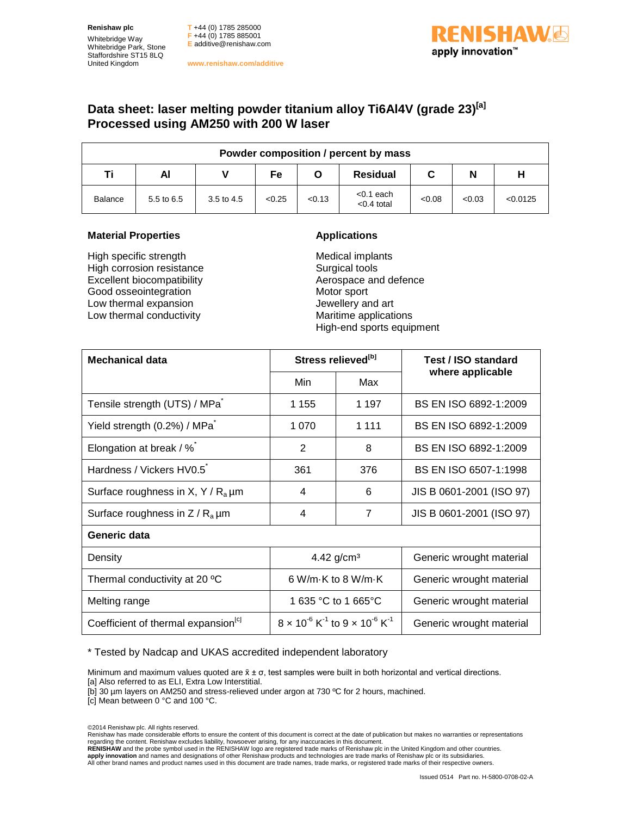**Renishaw plc** Whitebridge Way Whitebridge Park, Stone Staffordshire ST15 8LQ United Kingdom

**T** +44 (0) 1785 285000 **F** +44 (0) 1785 885001 **E** [additive@renishaw.com](mailto:additive@renishaw.com)

**www.renishaw.com/additive**

## **ISHAW**O apply innovation<sup>™</sup>

## **Data sheet: laser melting powder titanium alloy Ti6Al4V (grade 23)<sup>[a]</sup> Processed using AM250 with 200 W laser**

| Powder composition / percent by mass |            |            |        |        |                               |        |        |          |  |  |
|--------------------------------------|------------|------------|--------|--------|-------------------------------|--------|--------|----------|--|--|
| Ti                                   | Al         |            | Fe     |        | <b>Residual</b>               | C      | N      |          |  |  |
| <b>Balance</b>                       | 5.5 to 6.5 | 3.5 to 4.5 | < 0.25 | < 0.13 | $< 0.1$ each<br>$< 0.4$ total | < 0.08 | < 0.03 | < 0.0125 |  |  |

## **Material Properties Applications**

High specific strength High corrosion resistance Excellent biocompatibility Good osseointegration Low thermal expansion Low thermal conductivity

Medical implants Surgical tools Aerospace and defence Motor sport Jewellery and art Maritime applications High-end sports equipment

| <b>Mechanical data</b>                          | Stress relieved <sup>[b]</sup>                                           |                                    | Test / ISO standard      |  |
|-------------------------------------------------|--------------------------------------------------------------------------|------------------------------------|--------------------------|--|
|                                                 | Min                                                                      | Max                                | where applicable         |  |
| Tensile strength (UTS) / MPa                    | 1 1 5 5                                                                  | 1 1 9 7                            | BS EN ISO 6892-1:2009    |  |
| Yield strength (0.2%) / MPa                     | 1 0 7 0                                                                  | 1 1 1 1                            | BS EN ISO 6892-1:2009    |  |
| Elongation at break / %                         | 2                                                                        | 8                                  | BS EN ISO 6892-1:2009    |  |
| Hardness / Vickers HV0.5                        | 361                                                                      | 376                                | BS EN ISO 6507-1:1998    |  |
| Surface roughness in X, Y / $R_a \mu m$         | 4                                                                        | 6                                  | JIS B 0601-2001 (ISO 97) |  |
| Surface roughness in $Z/R_a \mu m$              | 4                                                                        | $\overline{7}$                     | JIS B 0601-2001 (ISO 97) |  |
| Generic data                                    |                                                                          |                                    |                          |  |
| Density                                         | 4.42 $g/cm3$                                                             |                                    | Generic wrought material |  |
| Thermal conductivity at 20 °C                   |                                                                          | 6 W/m $\cdot$ K to 8 W/m $\cdot$ K | Generic wrought material |  |
| Melting range                                   |                                                                          | 1 635 °C to 1 665°C                | Generic wrought material |  |
| Coefficient of thermal expansion <sup>[c]</sup> | $8 \times 10^{-6}$ K <sup>-1</sup> to $9 \times 10^{-6}$ K <sup>-1</sup> |                                    | Generic wrought material |  |

\* Tested by Nadcap and UKAS accredited independent laboratory

Minimum and maximum values quoted are  $\bar{x} \pm \sigma$ , test samples were built in both horizontal and vertical directions.

[a] Also referred to as ELI, Extra Low Interstitial.

[b] 30 µm layers on AM250 and stress-relieved under argon at 730 ºC for 2 hours, machined.

[c] Mean between 0 °C and 100 °C.

©2014 Renishaw plc. All rights reserved.

Renishaw has made considerable efforts to ensure the content of this document is correct at the date of publication but makes no warranties or representations

regarding the content. Renishaw excludes liability, howsoever arising, for any inaccuracies in this document.<br>RENISHAW and the probe symbol used in the RENISHAW logo are registered trade marks of Renishaw plc in the United